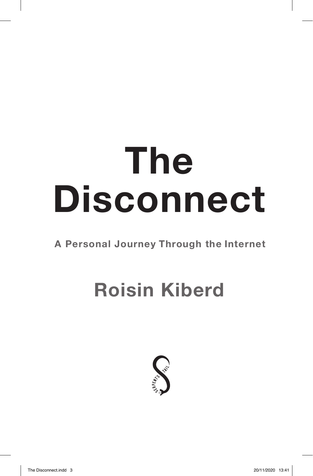# **The Disconnect**

#### **A Personal Journey Through the Internet**

# **Roisin Kiberd**

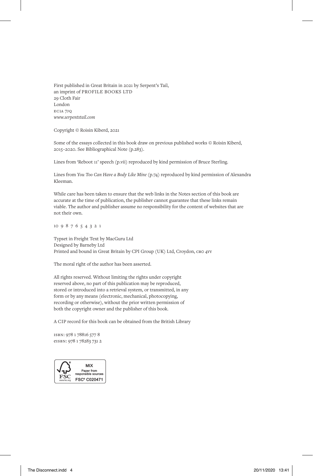First published in Great Britain in 2021 by Serpent's Tail, an imprint of PROFILE BOOKS LTD 29 Cloth Fair London eC1a 7jq *www.serpentstail.com*

Copyright © Roisin Kiberd, 2021

Some of the essays collected in this book draw on previous published works © Roisin Kiberd, 2015–2020. See Bibliographical Note (p.283).

Lines from 'Reboot 11' speech (p.vii) reproduced by kind permission of Bruce Sterling.

Lines from *You Too Can Have a Body Like Mine* (p.74) reproduced by kind permission of Alexandra Kleeman.

While care has been taken to ensure that the web links in the Notes section of this book are accurate at the time of publication, the publisher cannot guarantee that these links remain viable. The author and publisher assume no responsibility for the content of websites that are not their own.

10 9 8 7 6 5 4 3 2 1

Typset in Freight Text by MacGuru Ltd Designed by Barneby Ltd Printed and bound in Great Britain by CPI Group (UK) Ltd, Croydon, CRO 4YY

The moral right of the author has been asserted.

All rights reserved. Without limiting the rights under copyright reserved above, no part of this publication may be reproduced, stored or introduced into a retrieval system, or transmitted, in any form or by any means (electronic, mechanical, photocopying, recording or otherwise), without the prior written permission of both the copyright owner and the publisher of this book.

A CIP record for this book can be obtained from the British Library

ISBN: 978 1 78816 577 8 eISBN: 978 1 78283 731 2

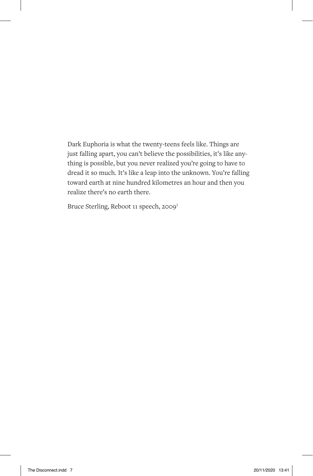Dark Euphoria is what the twenty-teens feels like. Things are just falling apart, you can't believe the possibilities, it's like anything is possible, but you never realized you're going to have to dread it so much. It's like a leap into the unknown. You're falling toward earth at nine hundred kilometres an hour and then you realize there's no earth there.

Bruce Sterling, Reboot 11 speech, 2009<sup>1</sup>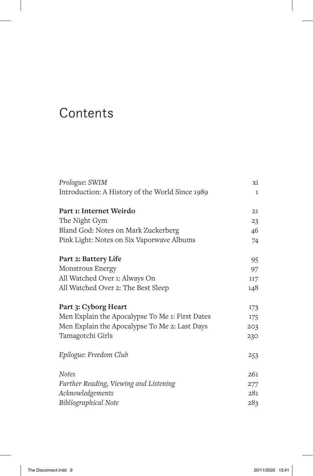## **Contents**

| Prologue: SWIM                                  | хi           |
|-------------------------------------------------|--------------|
| Introduction: A History of the World Since 1989 | $\mathbf{1}$ |
| Part 1: Internet Weirdo                         | 21           |
| The Night Gym                                   | 23           |
| Bland God: Notes on Mark Zuckerberg             | 46           |
| Pink Light: Notes on Six Vaporwave Albums       | 74           |
| Part 2: Battery Life                            | 95           |
| Monstrous Energy                                | 97           |
| All Watched Over 1: Always On                   | 117          |
| All Watched Over 2: The Best Sleep              | 148          |
| Part 3: Cyborg Heart                            | 173          |
| Men Explain the Apocalypse To Me 1: First Dates | 175          |
| Men Explain the Apocalypse To Me 2: Last Days   | 203          |
| Tamagotchi Girls                                | 230          |
| Epilogue: Freedom Club                          | 253          |
| <b>Notes</b>                                    | 261          |
| Further Reading, Viewing and Listening          | 277          |
| Acknowledgements                                | 281          |
| <b>Bibliographical Note</b>                     | 283          |
|                                                 |              |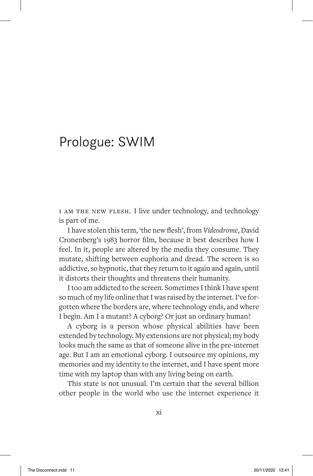#### Prologue: SWIM

I am the new flesh. I live under technology, and technology is part of me.

I have stolen this term, 'the new flesh', from *Videodrome*, David Cronenberg's 1983 horror film, because it best describes how I feel. In it, people are altered by the media they consume. They mutate, shifting between euphoria and dread. The screen is so addictive, so hypnotic, that they return to it again and again, until it distorts their thoughts and threatens their humanity.

I too am addicted to the screen. Sometimes I think I have spent so much of my life online that I was raised by the internet. I've forgotten where the borders are, where technology ends, and where I begin. Am I a mutant? A cyborg? Or just an ordinary human?

A cyborg is a person whose physical abilities have been extended by technology. My extensions are not physical; my body looks much the same as that of someone alive in the pre-internet age. But I am an emotional cyborg. I outsource my opinions, my memories and my identity to the internet, and I have spent more time with my laptop than with any living being on earth.

This state is not unusual. I'm certain that the several billion other people in the world who use the internet experience it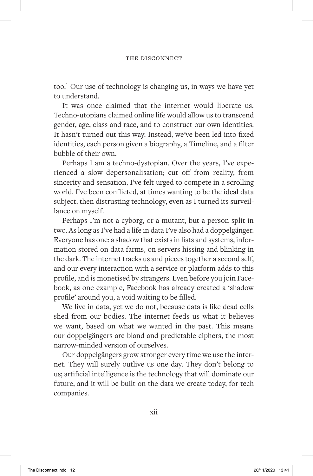too.1 Our use of technology is changing us, in ways we have yet to understand.

It was once claimed that the internet would liberate us. Techno-utopians claimed online life would allow us to transcend gender, age, class and race, and to construct our own identities. It hasn't turned out this way. Instead, we've been led into fixed identities, each person given a biography, a Timeline, and a filter bubble of their own.

Perhaps I am a techno-dystopian. Over the years, I've experienced a slow depersonalisation; cut off from reality, from sincerity and sensation, I've felt urged to compete in a scrolling world. I've been conflicted, at times wanting to be the ideal data subject, then distrusting technology, even as I turned its surveillance on myself.

Perhaps I'm not a cyborg, or a mutant, but a person split in two. As long as I've had a life in data I've also had a doppelgänger. Everyone has one: a shadow that exists in lists and systems, information stored on data farms, on servers hissing and blinking in the dark. The internet tracks us and pieces together a second self, and our every interaction with a service or platform adds to this profile, and is monetised by strangers. Even before you join Facebook, as one example, Facebook has already created a 'shadow profile' around you, a void waiting to be filled.

We live in data, yet we do not, because data is like dead cells shed from our bodies. The internet feeds us what it believes we want, based on what we wanted in the past. This means our doppelgängers are bland and predictable ciphers, the most narrow-minded version of ourselves.

Our doppelgängers grow stronger every time we use the internet. They will surely outlive us one day. They don't belong to us; artificial intelligence is the technology that will dominate our future, and it will be built on the data we create today, for tech companies.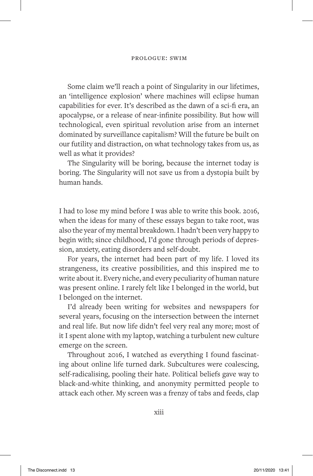Some claim we'll reach a point of Singularity in our lifetimes, an 'intelligence explosion' where machines will eclipse human capabilities for ever. It's described as the dawn of a sci-fi era, an apocalypse, or a release of near-infinite possibility. But how will technological, even spiritual revolution arise from an internet dominated by surveillance capitalism? Will the future be built on our futility and distraction, on what technology takes from us, as well as what it provides?

The Singularity will be boring, because the internet today is boring. The Singularity will not save us from a dystopia built by human hands.

I had to lose my mind before I was able to write this book. 2016, when the ideas for many of these essays began to take root, was also the year of my mental breakdown. I hadn't been very happy to begin with; since childhood, I'd gone through periods of depression, anxiety, eating disorders and self-doubt.

For years, the internet had been part of my life. I loved its strangeness, its creative possibilities, and this inspired me to write about it. Every niche, and every peculiarity of human nature was present online. I rarely felt like I belonged in the world, but I belonged on the internet.

I'd already been writing for websites and newspapers for several years, focusing on the intersection between the internet and real life. But now life didn't feel very real any more; most of it I spent alone with my laptop, watching a turbulent new culture emerge on the screen.

Throughout 2016, I watched as everything I found fascinating about online life turned dark. Subcultures were coalescing, self-radicalising, pooling their hate. Political beliefs gave way to black-and-white thinking, and anonymity permitted people to attack each other. My screen was a frenzy of tabs and feeds, clap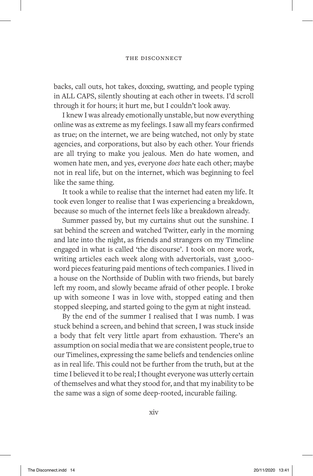backs, call outs, hot takes, doxxing, swatting, and people typing in ALL CAPS, silently shouting at each other in tweets. I'd scroll through it for hours; it hurt me, but I couldn't look away.

I knew I was already emotionally unstable, but now everything online was as extreme as my feelings. I saw all my fears confirmed as true; on the internet, we are being watched, not only by state agencies, and corporations, but also by each other. Your friends are all trying to make you jealous. Men do hate women, and women hate men, and yes, everyone *does* hate each other; maybe not in real life, but on the internet, which was beginning to feel like the same thing.

It took a while to realise that the internet had eaten my life. It took even longer to realise that I was experiencing a breakdown, because so much of the internet feels like a breakdown already.

Summer passed by, but my curtains shut out the sunshine. I sat behind the screen and watched Twitter, early in the morning and late into the night, as friends and strangers on my Timeline engaged in what is called 'the discourse'. I took on more work, writing articles each week along with advertorials, vast 3,000 word pieces featuring paid mentions of tech companies. I lived in a house on the Northside of Dublin with two friends, but barely left my room, and slowly became afraid of other people. I broke up with someone I was in love with, stopped eating and then stopped sleeping, and started going to the gym at night instead.

By the end of the summer I realised that I was numb. I was stuck behind a screen, and behind that screen, I was stuck inside a body that felt very little apart from exhaustion. There's an assumption on social media that we are consistent people, true to our Timelines, expressing the same beliefs and tendencies online as in real life. This could not be further from the truth, but at the time I believed it to be real; I thought everyone was utterly certain of themselves and what they stood for, and that my inability to be the same was a sign of some deep-rooted, incurable failing.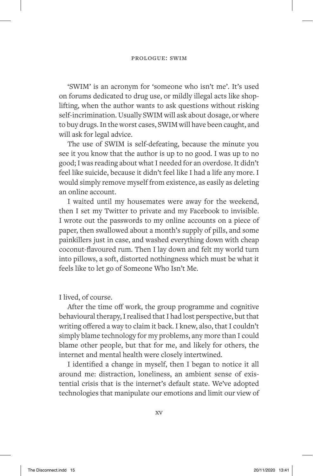'SWIM' is an acronym for 'someone who isn't me'. It's used on forums dedicated to drug use, or mildly illegal acts like shoplifting, when the author wants to ask questions without risking self-incrimination. Usually SWIM will ask about dosage, or where to buy drugs. In the worst cases, SWIM will have been caught, and will ask for legal advice.

The use of SWIM is self-defeating, because the minute you see it you know that the author is up to no good. I was up to no good; I was reading about what I needed for an overdose. It didn't feel like suicide, because it didn't feel like I had a life any more. I would simply remove myself from existence, as easily as deleting an online account.

I waited until my housemates were away for the weekend, then I set my Twitter to private and my Facebook to invisible. I wrote out the passwords to my online accounts on a piece of paper, then swallowed about a month's supply of pills, and some painkillers just in case, and washed everything down with cheap coconut-flavoured rum. Then I lay down and felt my world turn into pillows, a soft, distorted nothingness which must be what it feels like to let go of Someone Who Isn't Me.

I lived, of course.

After the time off work, the group programme and cognitive behavioural therapy, I realised that I had lost perspective, but that writing offered a way to claim it back. I knew, also, that I couldn't simply blame technology for my problems, any more than I could blame other people, but that for me, and likely for others, the internet and mental health were closely intertwined.

I identified a change in myself, then I began to notice it all around me: distraction, loneliness, an ambient sense of existential crisis that is the internet's default state. We've adopted technologies that manipulate our emotions and limit our view of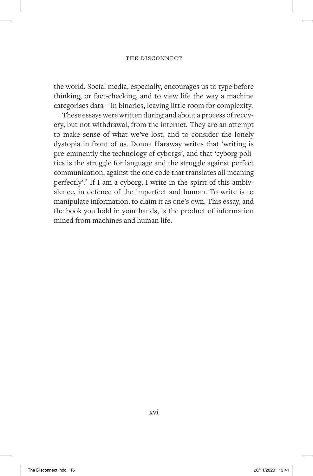the world. Social media, especially, encourages us to type before thinking, or fact-checking, and to view life the way a machine categorises data – in binaries, leaving little room for complexity.

These essays were written during and about a process of recovery, but not withdrawal, from the internet. They are an attempt to make sense of what we've lost, and to consider the lonely dystopia in front of us. Donna Haraway writes that 'writing is pre-eminently the technology of cyborgs', and that 'cyborg politics is the struggle for language and the struggle against perfect communication, against the one code that translates all meaning perfectly'.<sup>2</sup> If I am a cyborg, I write in the spirit of this ambivalence, in defence of the imperfect and human. To write is to manipulate information, to claim it as one's own. This essay, and the book you hold in your hands, is the product of information mined from machines and human life.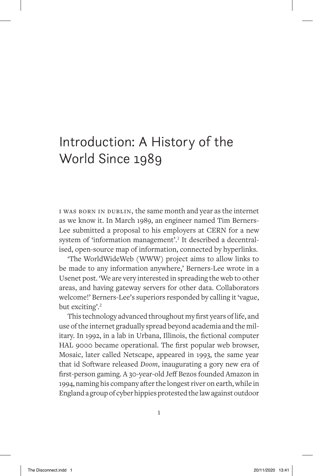### Introduction: A History of the World Since 1989

I was born in Dublin, the same month and year as the internet as we know it. In March 1989, an engineer named Tim Berners-Lee submitted a proposal to his employers at CERN for a new system of 'information management'.<sup>1</sup> It described a decentralised, open-source map of information, connected by hyperlinks.

'The WorldWideWeb (WWW) project aims to allow links to be made to any information anywhere,' Berners-Lee wrote in a Usenet post. 'We are very interested in spreading the web to other areas, and having gateway servers for other data. Collaborators welcome!' Berners-Lee's superiors responded by calling it 'vague, but exciting'.<sup>2</sup>

This technology advanced throughout my first years of life, and use of the internet gradually spread beyond academia and the military. In 1992, in a lab in Urbana, Illinois, the fictional computer HAL 9000 became operational. The first popular web browser, Mosaic, later called Netscape, appeared in 1993, the same year that id Software released *Doom*, inaugurating a gory new era of first-person gaming. A 30-year-old Jeff Bezos founded Amazon in 1994, naming his company after the longest river on earth, while in England a group of cyber hippies protested the law against outdoor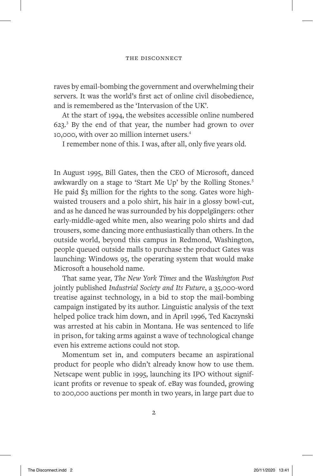raves by email-bombing the government and overwhelming their servers. It was the world's first act of online civil disobedience, and is remembered as the 'Intervasion of the UK'.

At the start of 1994, the websites accessible online numbered  $623$ .<sup>3</sup> By the end of that year, the number had grown to over 10,000, with over 20 million internet users.4

I remember none of this. I was, after all, only five years old.

In August 1995, Bill Gates, then the CEO of Microsoft, danced awkwardly on a stage to 'Start Me Up' by the Rolling Stones.<sup>5</sup> He paid \$3 million for the rights to the song. Gates wore highwaisted trousers and a polo shirt, his hair in a glossy bowl-cut, and as he danced he was surrounded by his doppelgängers: other early-middle-aged white men, also wearing polo shirts and dad trousers, some dancing more enthusiastically than others. In the outside world, beyond this campus in Redmond, Washington, people queued outside malls to purchase the product Gates was launching: Windows 95, the operating system that would make Microsoft a household name.

That same year, *The New York Times* and the *Washington Post*  jointly published *Industrial Society and Its Future*, a 35,000-word treatise against technology, in a bid to stop the mail-bombing campaign instigated by its author. Linguistic analysis of the text helped police track him down, and in April 1996, Ted Kaczynski was arrested at his cabin in Montana. He was sentenced to life in prison, for taking arms against a wave of technological change even his extreme actions could not stop.

Momentum set in, and computers became an aspirational product for people who didn't already know how to use them. Netscape went public in 1995, launching its IPO without significant profits or revenue to speak of. eBay was founded, growing to 200,000 auctions per month in two years, in large part due to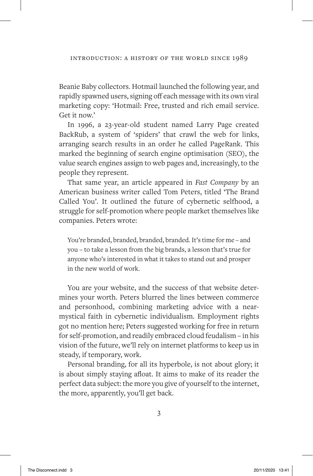Beanie Baby collectors. Hotmail launched the following year, and rapidly spawned users, signing off each message with its own viral marketing copy: 'Hotmail: Free, trusted and rich email service. Get it now.'

In 1996, a 23-year-old student named Larry Page created BackRub, a system of 'spiders' that crawl the web for links, arranging search results in an order he called PageRank. This marked the beginning of search engine optimisation (SEO), the value search engines assign to web pages and, increasingly, to the people they represent.

That same year, an article appeared in *Fast Company* by an American business writer called Tom Peters, titled 'The Brand Called You'. It outlined the future of cybernetic selfhood, a struggle for self-promotion where people market themselves like companies. Peters wrote:

You're branded, branded, branded, branded. It's time for me – and you – to take a lesson from the big brands, a lesson that's true for anyone who's interested in what it takes to stand out and prosper in the new world of work.

You are your website, and the success of that website determines your worth. Peters blurred the lines between commerce and personhood, combining marketing advice with a nearmystical faith in cybernetic individualism. Employment rights got no mention here; Peters suggested working for free in return for self-promotion, and readily embraced cloud feudalism – in his vision of the future, we'll rely on internet platforms to keep us in steady, if temporary, work.

Personal branding, for all its hyperbole, is not about glory; it is about simply staying afloat. It aims to make of its reader the perfect data subject: the more you give of yourself to the internet, the more, apparently, you'll get back.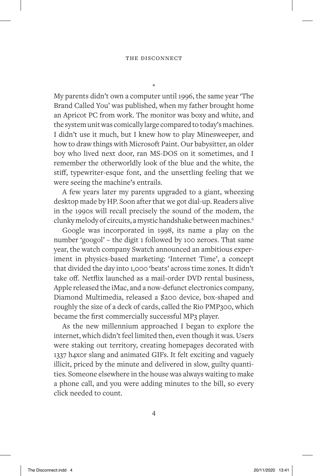\*

My parents didn't own a computer until 1996, the same year 'The Brand Called You' was published, when my father brought home an Apricot PC from work. The monitor was boxy and white, and the system unit was comically large compared to today's machines. I didn't use it much, but I knew how to play Minesweeper, and how to draw things with Microsoft Paint. Our babysitter, an older boy who lived next door, ran MS-DOS on it sometimes, and I remember the otherworldly look of the blue and the white, the stiff, typewriter-esque font, and the unsettling feeling that we were seeing the machine's entrails.

A few years later my parents upgraded to a giant, wheezing desktop made by HP. Soon after that we got dial-up. Readers alive in the 1990s will recall precisely the sound of the modem, the clunky melody of circuits, a mystic handshake between machines.<sup>6</sup>

Google was incorporated in 1998, its name a play on the number 'googol' – the digit 1 followed by 100 zeroes. That same year, the watch company Swatch announced an ambitious experiment in physics-based marketing: 'Internet Time', a concept that divided the day into 1,000 'beats' across time zones. It didn't take off. Netflix launched as a mail-order DVD rental business, Apple released the iMac, and a now-defunct electronics company, Diamond Multimedia, released a \$200 device, box-shaped and roughly the size of a deck of cards, called the Rio PMP300, which became the first commercially successful MP3 player.

As the new millennium approached I began to explore the internet, which didn't feel limited then, even though it was. Users were staking out territory, creating homepages decorated with 1337 h4x0r slang and animated GIFs. It felt exciting and vaguely illicit, priced by the minute and delivered in slow, guilty quantities. Someone elsewhere in the house was always waiting to make a phone call, and you were adding minutes to the bill, so every click needed to count.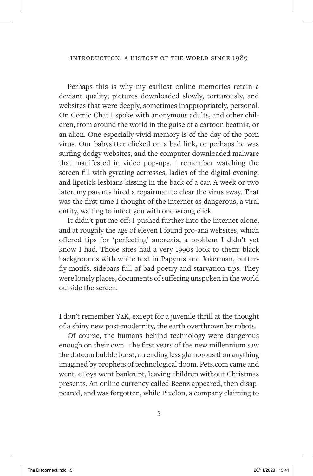Perhaps this is why my earliest online memories retain a deviant quality; pictures downloaded slowly, torturously, and websites that were deeply, sometimes inappropriately, personal. On Comic Chat I spoke with anonymous adults, and other children, from around the world in the guise of a cartoon beatnik, or an alien. One especially vivid memory is of the day of the porn virus. Our babysitter clicked on a bad link, or perhaps he was surfing dodgy websites, and the computer downloaded malware that manifested in video pop-ups. I remember watching the screen fill with gyrating actresses, ladies of the digital evening, and lipstick lesbians kissing in the back of a car. A week or two later, my parents hired a repairman to clear the virus away. That was the first time I thought of the internet as dangerous, a viral entity, waiting to infect you with one wrong click.

It didn't put me off: I pushed further into the internet alone, and at roughly the age of eleven I found pro-ana websites, which offered tips for 'perfecting' anorexia, a problem I didn't yet know I had. Those sites had a very 1990s look to them: black backgrounds with white text in Papyrus and Jokerman, butterfly motifs, sidebars full of bad poetry and starvation tips. They were lonely places, documents of suffering unspoken in the world outside the screen.

I don't remember Y2K, except for a juvenile thrill at the thought of a shiny new post-modernity, the earth overthrown by robots.

Of course, the humans behind technology were dangerous enough on their own. The first years of the new millennium saw the dotcom bubble burst, an ending less glamorous than anything imagined by prophets of technological doom. Pets.com came and went. eToys went bankrupt, leaving children without Christmas presents. An online currency called Beenz appeared, then disappeared, and was forgotten, while Pixelon, a company claiming to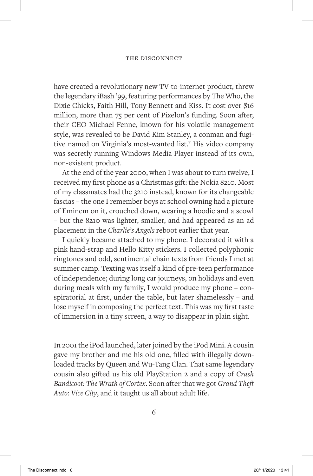have created a revolutionary new TV-to-internet product, threw the legendary iBash '99, featuring performances by The Who, the Dixie Chicks, Faith Hill, Tony Bennett and Kiss. It cost over \$16 million, more than 75 per cent of Pixelon's funding. Soon after, their CEO Michael Fenne, known for his volatile management style, was revealed to be David Kim Stanley, a conman and fugitive named on Virginia's most-wanted list.7 His video company was secretly running Windows Media Player instead of its own, non-existent product.

At the end of the year 2000, when I was about to turn twelve, I received my first phone as a Christmas gift: the Nokia 8210. Most of my classmates had the 3210 instead, known for its changeable fascias – the one I remember boys at school owning had a picture of Eminem on it, crouched down, wearing a hoodie and a scowl – but the 8210 was lighter, smaller, and had appeared as an ad placement in the *Charlie's Angels* reboot earlier that year.

I quickly became attached to my phone. I decorated it with a pink hand-strap and Hello Kitty stickers. I collected polyphonic ringtones and odd, sentimental chain texts from friends I met at summer camp. Texting was itself a kind of pre-teen performance of independence; during long car journeys, on holidays and even during meals with my family, I would produce my phone – conspiratorial at first, under the table, but later shamelessly – and lose myself in composing the perfect text. This was my first taste of immersion in a tiny screen, a way to disappear in plain sight.

In 2001 the iPod launched, later joined by the iPod Mini. A cousin gave my brother and me his old one, filled with illegally downloaded tracks by Queen and Wu-Tang Clan. That same legendary cousin also gifted us his old PlayStation 2 and a copy of *Crash Bandicoot: The Wrath of Cortex*. Soon after that we got *Grand Theft Auto: Vice City*, and it taught us all about adult life.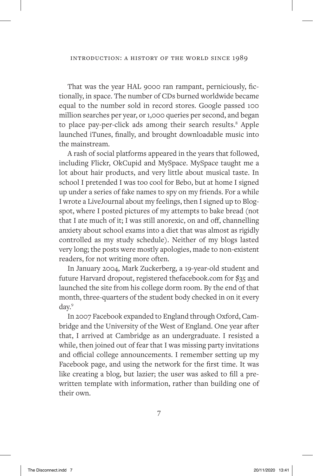That was the year HAL 9000 ran rampant, perniciously, fictionally, in space. The number of CDs burned worldwide became equal to the number sold in record stores. Google passed 100 million searches per year, or 1,000 queries per second, and began to place pay-per-click ads among their search results.<sup>8</sup> Apple launched iTunes, finally, and brought downloadable music into the mainstream.

A rash of social platforms appeared in the years that followed, including Flickr, OkCupid and MySpace. MySpace taught me a lot about hair products, and very little about musical taste. In school I pretended I was too cool for Bebo, but at home I signed up under a series of fake names to spy on my friends. For a while I wrote a LiveJournal about my feelings, then I signed up to Blogspot, where I posted pictures of my attempts to bake bread (not that I ate much of it; I was still anorexic, on and off, channelling anxiety about school exams into a diet that was almost as rigidly controlled as my study schedule). Neither of my blogs lasted very long; the posts were mostly apologies, made to non-existent readers, for not writing more often.

In January 2004, Mark Zuckerberg, a 19-year-old student and future Harvard dropout, registered thefacebook.com for \$35 and launched the site from his college dorm room. By the end of that month, three-quarters of the student body checked in on it every day.<sup>9</sup>

In 2007 Facebook expanded to England through Oxford, Cambridge and the University of the West of England. One year after that, I arrived at Cambridge as an undergraduate. I resisted a while, then joined out of fear that I was missing party invitations and official college announcements. I remember setting up my Facebook page, and using the network for the first time. It was like creating a blog, but lazier; the user was asked to fill a prewritten template with information, rather than building one of their own.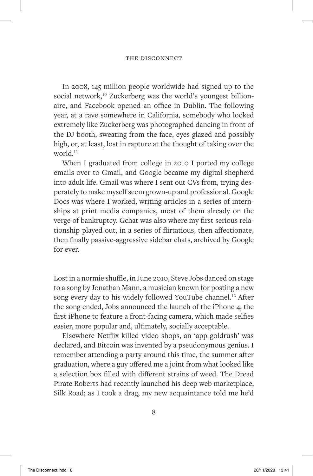In 2008, 145 million people worldwide had signed up to the social network,<sup>10</sup> Zuckerberg was the world's youngest billionaire, and Facebook opened an office in Dublin. The following year, at a rave somewhere in California, somebody who looked extremely like Zuckerberg was photographed dancing in front of the DJ booth, sweating from the face, eyes glazed and possibly high, or, at least, lost in rapture at the thought of taking over the world.11

When I graduated from college in 2010 I ported my college emails over to Gmail, and Google became my digital shepherd into adult life. Gmail was where I sent out CVs from, trying desperately to make myself seem grown-up and professional. Google Docs was where I worked, writing articles in a series of internships at print media companies, most of them already on the verge of bankruptcy. Gchat was also where my first serious relationship played out, in a series of flirtatious, then affectionate, then finally passive-aggressive sidebar chats, archived by Google for ever.

Lost in a normie shuffle, in June 2010, Steve Jobs danced on stage to a song by Jonathan Mann, a musician known for posting a new song every day to his widely followed YouTube channel.<sup>12</sup> After the song ended, Jobs announced the launch of the iPhone 4, the first iPhone to feature a front-facing camera, which made selfies easier, more popular and, ultimately, socially acceptable.

Elsewhere Netflix killed video shops, an 'app goldrush' was declared, and Bitcoin was invented by a pseudonymous genius. I remember attending a party around this time, the summer after graduation, where a guy offered me a joint from what looked like a selection box filled with different strains of weed. The Dread Pirate Roberts had recently launched his deep web marketplace, Silk Road; as I took a drag, my new acquaintance told me he'd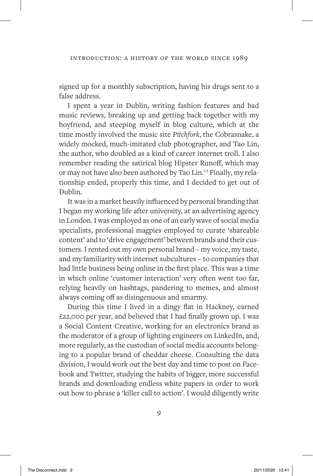signed up for a monthly subscription, having his drugs sent to a false address.

I spent a year in Dublin, writing fashion features and bad music reviews, breaking up and getting back together with my boyfriend, and steeping myself in blog culture, which at the time mostly involved the music site *Pitchfork*, the Cobrasnake, a widely mocked, much-imitated club photographer, and Tao Lin, the author, who doubled as a kind of career internet troll. I also remember reading the satirical blog Hipster Runoff, which may or may not have also been authored by Tao Lin.13 Finally, my relationship ended, properly this time, and I decided to get out of Dublin.

It was in a market heavily influenced by personal branding that I began my working life after university, at an advertising agency in London. I was employed as one of an early wave of social media specialists, professional magpies employed to curate 'shareable content' and to 'drive engagement' between brands and their customers. I rented out my own personal brand – my voice, my taste, and my familiarity with internet subcultures – to companies that had little business being online in the first place. This was a time in which online 'customer interaction' very often went too far, relying heavily on hashtags, pandering to memes, and almost always coming off as disingenuous and smarmy.

During this time I lived in a dingy flat in Hackney, earned £22,000 per year, and believed that I had finally grown up. I was a Social Content Creative, working for an electronics brand as the moderator of a group of lighting engineers on LinkedIn, and, more regularly, as the custodian of social media accounts belonging to a popular brand of cheddar cheese. Consulting the data division, I would work out the best day and time to post on Facebook and Twitter, studying the habits of bigger, more successful brands and downloading endless white papers in order to work out how to phrase a 'killer call to action'. I would diligently write